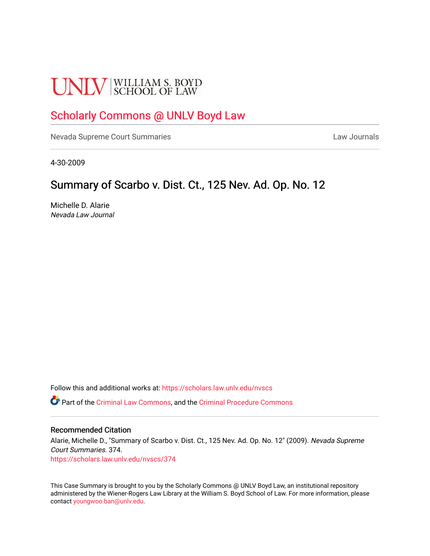# **UNLV** SCHOOL OF LAW

## [Scholarly Commons @ UNLV Boyd Law](https://scholars.law.unlv.edu/)

[Nevada Supreme Court Summaries](https://scholars.law.unlv.edu/nvscs) **Law Journals** Law Journals

4-30-2009

### Summary of Scarbo v. Dist. Ct., 125 Nev. Ad. Op. No. 12

Michelle D. Alarie Nevada Law Journal

Follow this and additional works at: [https://scholars.law.unlv.edu/nvscs](https://scholars.law.unlv.edu/nvscs?utm_source=scholars.law.unlv.edu%2Fnvscs%2F374&utm_medium=PDF&utm_campaign=PDFCoverPages)

Part of the [Criminal Law Commons,](http://network.bepress.com/hgg/discipline/912?utm_source=scholars.law.unlv.edu%2Fnvscs%2F374&utm_medium=PDF&utm_campaign=PDFCoverPages) and the [Criminal Procedure Commons](http://network.bepress.com/hgg/discipline/1073?utm_source=scholars.law.unlv.edu%2Fnvscs%2F374&utm_medium=PDF&utm_campaign=PDFCoverPages)

#### Recommended Citation

Alarie, Michelle D., "Summary of Scarbo v. Dist. Ct., 125 Nev. Ad. Op. No. 12" (2009). Nevada Supreme Court Summaries. 374. [https://scholars.law.unlv.edu/nvscs/374](https://scholars.law.unlv.edu/nvscs/374?utm_source=scholars.law.unlv.edu%2Fnvscs%2F374&utm_medium=PDF&utm_campaign=PDFCoverPages)

This Case Summary is brought to you by the Scholarly Commons @ UNLV Boyd Law, an institutional repository administered by the Wiener-Rogers Law Library at the William S. Boyd School of Law. For more information, please contact [youngwoo.ban@unlv.edu](mailto:youngwoo.ban@unlv.edu).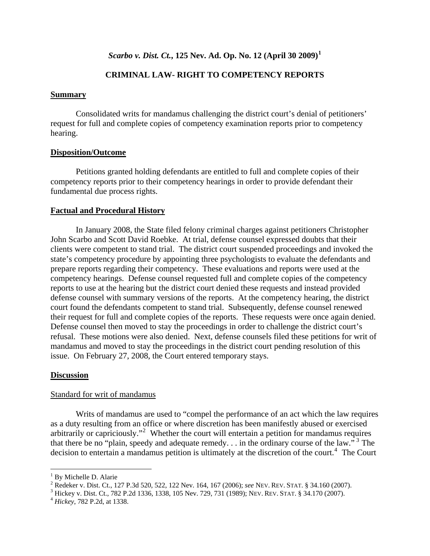#### *Scarbo v. Dist. Ct.***, 125 Nev. Ad. Op. No. 12 (April 30 2009)[1](#page-1-0)**

#### **CRIMINAL LAW- RIGHT TO COMPETENCY REPORTS**

#### **Summary**

 Consolidated writs for mandamus challenging the district court's denial of petitioners' request for full and complete copies of competency examination reports prior to competency hearing.

#### **Disposition/Outcome**

 Petitions granted holding defendants are entitled to full and complete copies of their competency reports prior to their competency hearings in order to provide defendant their fundamental due process rights.

#### **Factual and Procedural History**

 In January 2008, the State filed felony criminal charges against petitioners Christopher John Scarbo and Scott David Roebke. At trial, defense counsel expressed doubts that their clients were competent to stand trial. The district court suspended proceedings and invoked the state's competency procedure by appointing three psychologists to evaluate the defendants and prepare reports regarding their competency. These evaluations and reports were used at the competency hearings. Defense counsel requested full and complete copies of the competency reports to use at the hearing but the district court denied these requests and instead provided defense counsel with summary versions of the reports. At the competency hearing, the district court found the defendants competent to stand trial. Subsequently, defense counsel renewed their request for full and complete copies of the reports. These requests were once again denied. Defense counsel then moved to stay the proceedings in order to challenge the district court's refusal. These motions were also denied. Next, defense counsels filed these petitions for writ of mandamus and moved to stay the proceedings in the district court pending resolution of this issue. On February 27, 2008, the Court entered temporary stays.

#### **Discussion**

#### Standard for writ of mandamus

 Writs of mandamus are used to "compel the performance of an act which the law requires as a duty resulting from an office or where discretion has been manifestly abused or exercised arbitrarily or capriciously."<sup>[2](#page-1-1)</sup> Whether the court will entertain a petition for mandamus requires that there be no "plain, speedy and adequate remedy.  $\ldots$  in the ordinary course of the law."<sup>[3](#page-1-2)</sup> The decision to entertain a mandamus petition is ultimately at the discretion of the court.<sup>[4](#page-1-3)</sup> The Court

<u>.</u>

<span id="page-1-0"></span><sup>&</sup>lt;sup>1</sup> By Michelle D. Alarie

<span id="page-1-1"></span><sup>&</sup>lt;sup>2</sup> Redeker v. Dist. Ct., 127 P.3d 520, 522, 122 Nev. 164, 167 (2006); *see* NEV. REV. STAT. § 34.160 (2007).<br><sup>3</sup> Hickov v. Dist. Ct., 782 B.2d 1326, 1328, 105 Nov. 720, 731 (1989); NEV. REV. STAT. § 34.170 (2007).

<span id="page-1-2"></span>Hickey v. Dist. Ct., 782 P.2d 1336, 1338, 105 Nev. 729, 731 (1989); NEV. REV. STAT. § 34.170 (2007). 4 *Hickey*, 782 P.2d, at 1338.

<span id="page-1-3"></span>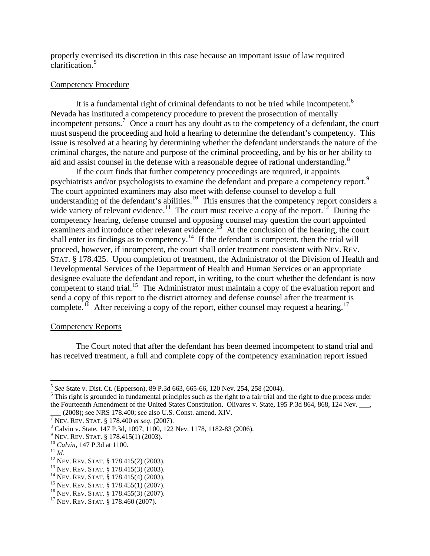properly exercised its discretion in this case because an important issue of law required clarification.<sup>[5](#page-2-0)</sup>

#### Competency Procedure

It is a fundamental right of criminal defendants to not be tried while incompetent.<sup>[6](#page-2-1)</sup> Nevada has instituted a competency procedure to prevent the prosecution of mentally incompetent persons.<sup>[7](#page-2-2)</sup> Once a court has any doubt as to the competency of a defendant, the court must suspend the proceeding and hold a hearing to determine the defendant's competency. This issue is resolved at a hearing by determining whether the defendant understands the nature of the criminal charges, the nature and purpose of the criminal proceeding, and by his or her ability to aid and assist counsel in the defense with a reasonable degree of rational understanding.<sup>[8](#page-2-3)</sup>

 If the court finds that further competency proceedings are required, it appoints psychiatrists and/or psychologists to examine the defendant and prepare a competency report.<sup>[9](#page-2-4)</sup> The court appointed examiners may also meet with defense counsel to develop a full understanding of the defendant's abilities.<sup>[10](#page-2-5)</sup> This ensures that the competency report considers a wide variety of relevant evidence.<sup>[11](#page-2-6)</sup> The court must receive a copy of the report.<sup>[12](#page-2-7)</sup> During the competency hearing, defense counsel and opposing counsel may question the court appointed examiners and introduce other relevant evidence.<sup>[13](#page-2-8)</sup> At the conclusion of the hearing, the court shall enter its findings as to competency.<sup>[14](#page-2-9)</sup> If the defendant is competent, then the trial will proceed, however, if incompetent, the court shall order treatment consistent with NEV. REV. STAT. § 178.425. Upon completion of treatment, the Administrator of the Division of Health and Developmental Services of the Department of Health and Human Services or an appropriate designee evaluate the defendant and report, in writing, to the court whether the defendant is now competent to stand trial.<sup>[15](#page-2-10)</sup> The Administrator must maintain a copy of the evaluation report and send a copy of this report to the district attorney and defense counsel after the treatment is complete.<sup>[16](#page-2-11)</sup> After receiving a copy of the report, either counsel may request a hearing.<sup>[17](#page-2-12)</sup>

#### Competency Reports

 The Court noted that after the defendant has been deemed incompetent to stand trial and has received treatment, a full and complete copy of the competency examination report issued

 $\overline{a}$ 

<span id="page-2-0"></span> $^5$  *See* State v. Dist. Ct. (Epperson), 89 P.3d 663, 665-66, 120 Nev. 254, 258 (2004).

<span id="page-2-1"></span> $<sup>6</sup>$  This right is grounded in fundamental principles such as the right to a fair trial and the right to due process under</sup> the Fourteenth Amendment of the United States Constitution. Olivares v. State, 195 P.3d 864, 868, 124 Nev. \_\_, (2008); <u>see</u> NRS 178.400; <u>see also</u> U.S. Const. amend. XIV.

<span id="page-2-2"></span> $\frac{1}{7}$ NEV. REV. STAT. § 178.400 *et seq.* (2007).

<span id="page-2-3"></span>Calvin v. State, 147 P.3d, 1097, 1100, 122 Nev. 1178, 1182-83 (2006).

<span id="page-2-4"></span> $^{9}$  Nev. Rev. Stat. § 178.415(1) (2003).

<span id="page-2-7"></span>

<span id="page-2-9"></span><span id="page-2-8"></span>

<span id="page-2-6"></span><span id="page-2-5"></span><sup>&</sup>lt;sup>10</sup> Calvin, 147 P.3d at 1100.<br>
<sup>11</sup> Id.<br>
<sup>12</sup> Nev. Rev. STAT. § 178.415(2) (2003).<br>
<sup>13</sup> Nev. Rev. STAT. § 178.415(3) (2003).<br>
<sup>14</sup> Nev. Rev. STAT. § 178.415(4) (2003).<br>
<sup>15</sup> Nev. Rev. STAT. § 178.455(1) (2007).<br>
<sup>16</sup> Ne

<span id="page-2-10"></span>

<span id="page-2-11"></span>

<span id="page-2-12"></span>